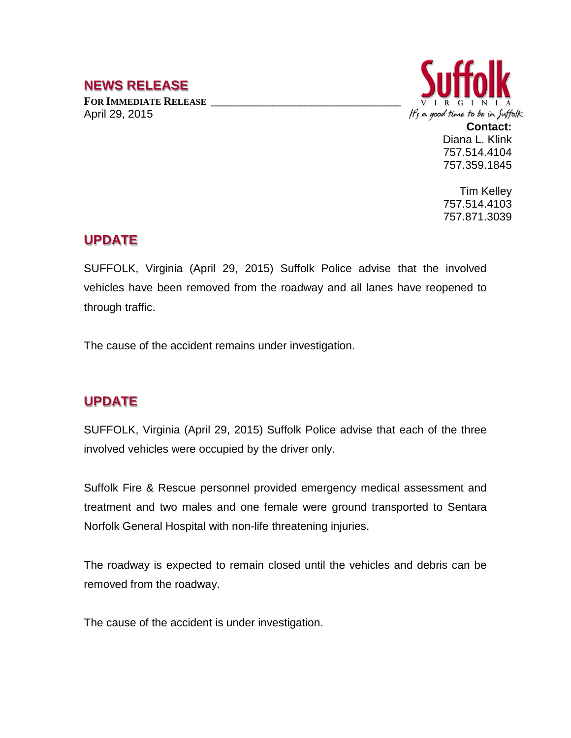## **NEWS RELEASE**

FOR **IMMEDIATE RELEASE** April 29, 2015



**Contact:** Diana L. Klink 757.514.4104 757.359.1845

Tim Kelley 757.514.4103 757.871.3039

## **UPDATE**

SUFFOLK, Virginia (April 29, 2015) Suffolk Police advise that the involved vehicles have been removed from the roadway and all lanes have reopened to through traffic.

The cause of the accident remains under investigation.

## **UPDATE**

SUFFOLK, Virginia (April 29, 2015) Suffolk Police advise that each of the three involved vehicles were occupied by the driver only.

Suffolk Fire & Rescue personnel provided emergency medical assessment and treatment and two males and one female were ground transported to Sentara Norfolk General Hospital with non-life threatening injuries.

The roadway is expected to remain closed until the vehicles and debris can be removed from the roadway.

The cause of the accident is under investigation.